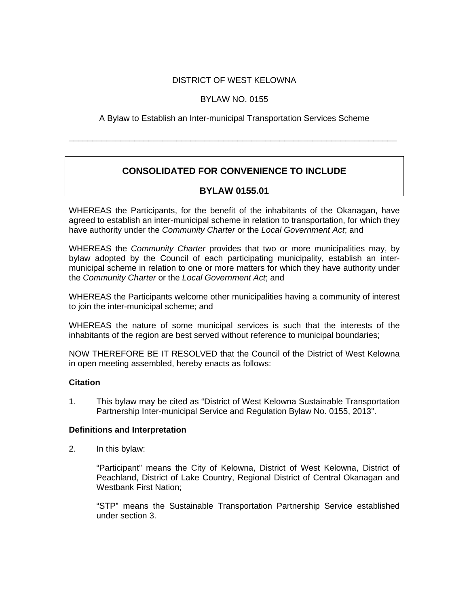### DISTRICT OF WEST KELOWNA

### BYLAW NO. 0155

A Bylaw to Establish an Inter-municipal Transportation Services Scheme

\_\_\_\_\_\_\_\_\_\_\_\_\_\_\_\_\_\_\_\_\_\_\_\_\_\_\_\_\_\_\_\_\_\_\_\_\_\_\_\_\_\_\_\_\_\_\_\_\_\_\_\_\_\_\_\_\_\_\_\_\_\_\_\_\_\_\_\_\_\_

# **CONSOLIDATED FOR CONVENIENCE TO INCLUDE**

### **BYLAW 0155.01**

WHEREAS the Participants, for the benefit of the inhabitants of the Okanagan, have agreed to establish an inter-municipal scheme in relation to transportation, for which they have authority under the *Community Charter* or the *Local Government Act*; and

WHEREAS the *Community Charter* provides that two or more municipalities may, by bylaw adopted by the Council of each participating municipality, establish an intermunicipal scheme in relation to one or more matters for which they have authority under the *Community Charter* or the *Local Government Act*; and

WHEREAS the Participants welcome other municipalities having a community of interest to join the inter-municipal scheme; and

WHEREAS the nature of some municipal services is such that the interests of the inhabitants of the region are best served without reference to municipal boundaries;

NOW THEREFORE BE IT RESOLVED that the Council of the District of West Kelowna in open meeting assembled, hereby enacts as follows:

#### **Citation**

1. This bylaw may be cited as "District of West Kelowna Sustainable Transportation Partnership Inter-municipal Service and Regulation Bylaw No. 0155, 2013".

#### **Definitions and Interpretation**

2. In this bylaw:

"Participant" means the City of Kelowna, District of West Kelowna, District of Peachland, District of Lake Country, Regional District of Central Okanagan and Westbank First Nation;

"STP" means the Sustainable Transportation Partnership Service established under section 3.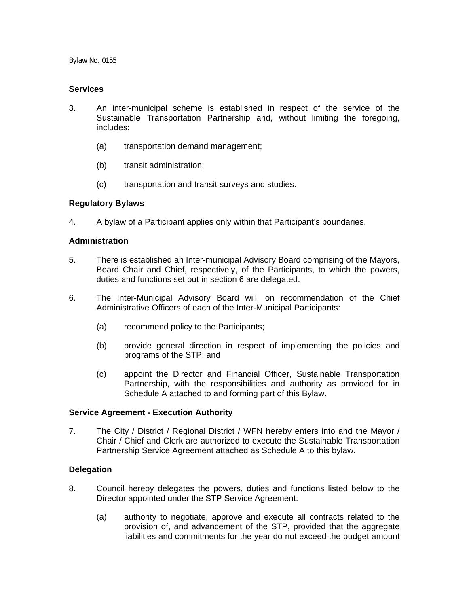#### **Services**

- 3. An inter-municipal scheme is established in respect of the service of the Sustainable Transportation Partnership and, without limiting the foregoing, includes:
	- (a) transportation demand management;
	- (b) transit administration;
	- (c) transportation and transit surveys and studies.

### **Regulatory Bylaws**

4. A bylaw of a Participant applies only within that Participant's boundaries.

### **Administration**

- 5. There is established an Inter-municipal Advisory Board comprising of the Mayors, Board Chair and Chief, respectively, of the Participants, to which the powers, duties and functions set out in section 6 are delegated.
- 6. The Inter-Municipal Advisory Board will, on recommendation of the Chief Administrative Officers of each of the Inter-Municipal Participants:
	- (a) recommend policy to the Participants;
	- (b) provide general direction in respect of implementing the policies and programs of the STP; and
	- (c) appoint the Director and Financial Officer, Sustainable Transportation Partnership, with the responsibilities and authority as provided for in Schedule A attached to and forming part of this Bylaw.

#### **Service Agreement - Execution Authority**

7. The City / District / Regional District / WFN hereby enters into and the Mayor / Chair / Chief and Clerk are authorized to execute the Sustainable Transportation Partnership Service Agreement attached as Schedule A to this bylaw.

### **Delegation**

- 8. Council hereby delegates the powers, duties and functions listed below to the Director appointed under the STP Service Agreement:
	- (a) authority to negotiate, approve and execute all contracts related to the provision of, and advancement of the STP, provided that the aggregate liabilities and commitments for the year do not exceed the budget amount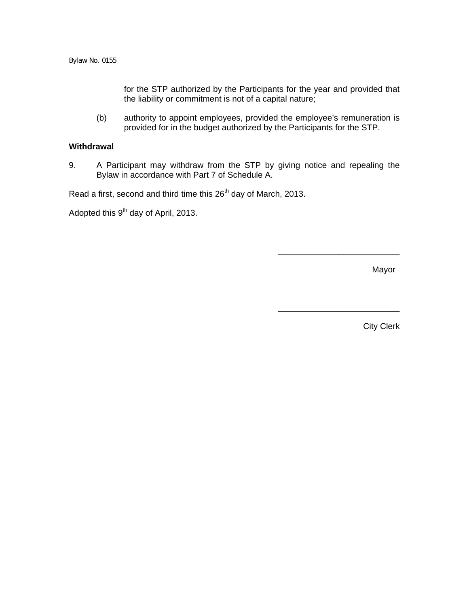for the STP authorized by the Participants for the year and provided that the liability or commitment is not of a capital nature;

(b) authority to appoint employees, provided the employee's remuneration is provided for in the budget authorized by the Participants for the STP.

#### **Withdrawal**

9. A Participant may withdraw from the STP by giving notice and repealing the Bylaw in accordance with Part 7 of Schedule A.

Read a first, second and third time this 26<sup>th</sup> day of March, 2013.

Adopted this 9<sup>th</sup> day of April, 2013.

Mayor

\_\_\_\_\_\_\_\_\_\_\_\_\_\_\_\_\_\_\_\_\_\_\_\_\_\_

\_\_\_\_\_\_\_\_\_\_\_\_\_\_\_\_\_\_\_\_\_\_\_\_\_\_

City Clerk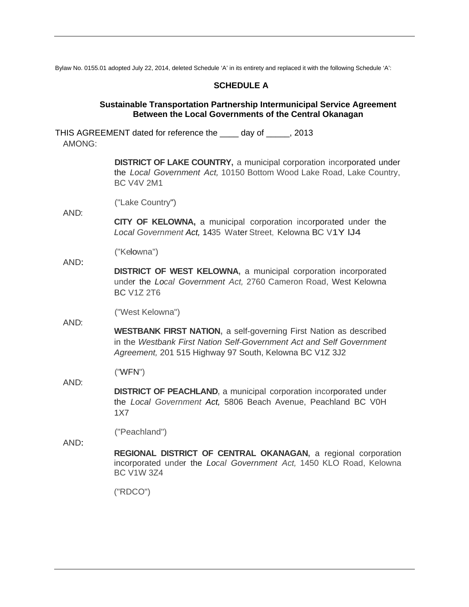Bylaw No. 0155.01 adopted July 22, 2014, deleted Schedule 'A' in its entirety and replaced it with the following Schedule 'A':

### **SCHEDULE A**

#### **Sustainable Transportation Partnership Intermunicipal Service Agreement Between the Local Governments of the Central Okanagan**

THIS AGREEMENT dated for reference the \_\_\_\_ day of \_\_\_\_\_, 2013 AMONG:

> **DISTRICT OF LAKE COUNTRY, a municipal corporation incorporated under** the *Local Government Act,* 10150 Bottom Wood Lake Road, Lake Country, BC V4V 2M1

("Lake Country")

**CITY OF KELOWNA,** a municipal corporation incorporated under the *Local Government Act,* 1435 Water Street, Kelowna BC V1Y lJ4

("Kelowna")

AND: **DISTRICT OF WEST KELOWNA,** a municipal corporation incorporated under the *Local Government Act,* 2760 Cameron Road, West Kelowna BC V1Z 2T6

("West Kelowna")

**WESTBANK FIRST NATION,** a self-governing First Nation as described in the *Westbank First Nation Self-Government Act and Self Government Agreement,* 201 515 Highway 97 South, Kelowna BC V1Z 3J2

("WFN")

**DISTRICT OF PEACHLAND,** a municipal corporation incorporated under the *Local Government Act,* 5806 Beach Avenue, Peachland BC V0H 1X7

("Peachland")

AND:

AND:

AND:

AND:

**REGIONAL DISTRICT OF CENTRAL OKANAGAN,** a regional corporation incorporated under the *Local Government Act,* 1450 KLO Road, Kelowna BC V1W 3Z4

("RDCO")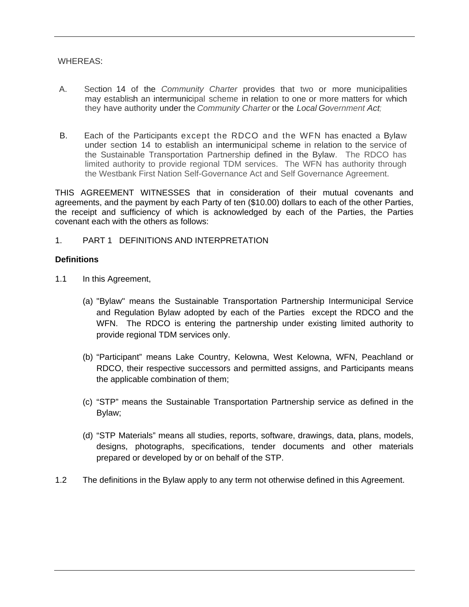### WHEREAS:

- A. Section 14 of the *Community Charter* provides that two or more municipalities may establish an intermunicipal scheme in relation to one or more matters for which they have authority under the *Community Charter* or the *Local Government Act;*
- B. Each of the Participants except the RDCO and the WFN has enacted a Bylaw under section 14 to establish an intermunicipal scheme in relation to the service of the Sustainable Transportation Partnership defined in the Bylaw. The RDCO has limited authority to provide regional TDM services. The WFN has authority through the Westbank First Nation Self-Governance Act and Self Governance Agreement.

THIS AGREEMENT WITNESSES that in consideration of their mutual covenants and agreements, and the payment by each Party of ten (\$10.00) dollars to each of the other Parties, the receipt and sufficiency of which is acknowledged by each of the Parties, the Parties covenant each with the others as follows:

## 1. PART 1 DEFINITIONS AND INTERPRETATION

#### **Definitions**

- 1.1 In this Agreement,
	- (a) "Bylaw" means the Sustainable Transportation Partnership Intermunicipal Service and Regulation Bylaw adopted by each of the Parties except the RDCO and the WFN. The RDCO is entering the partnership under existing limited authority to provide regional TDM services only.
	- (b) "Participant" means Lake Country, Kelowna, West Kelowna, WFN, Peachland or RDCO, their respective successors and permitted assigns, and Participants means the applicable combination of them;
	- (c) "STP" means the Sustainable Transportation Partnership service as defined in the Bylaw;
	- (d) "STP Materials" means all studies, reports, software, drawings, data, plans, models, designs, photographs, specifications, tender documents and other materials prepared or developed by or on behalf of the STP.
- 1.2 The definitions in the Bylaw apply to any term not otherwise defined in this Agreement.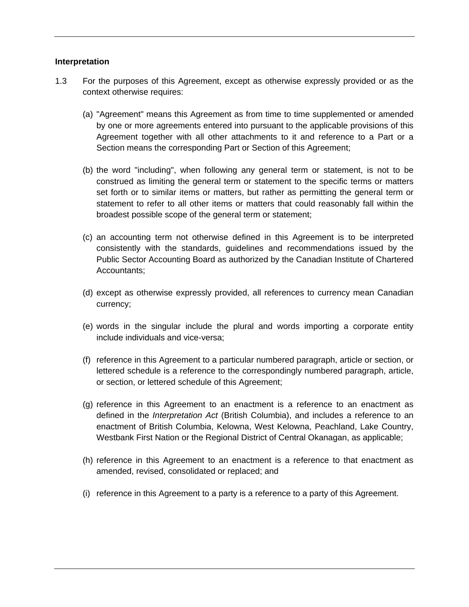#### **Interpretation**

- 1.3 For the purposes of this Agreement, except as otherwise expressly provided or as the context otherwise requires:
	- (a) "Agreement" means this Agreement as from time to time supplemented or amended by one or more agreements entered into pursuant to the applicable provisions of this Agreement together with all other attachments to it and reference to a Part or a Section means the corresponding Part or Section of this Agreement;
	- (b) the word "including", when following any general term or statement, is not to be construed as limiting the general term or statement to the specific terms or matters set forth or to similar items or matters, but rather as permitting the general term or statement to refer to all other items or matters that could reasonably fall within the broadest possible scope of the general term or statement;
	- (c) an accounting term not otherwise defined in this Agreement is to be interpreted consistently with the standards, guidelines and recommendations issued by the Public Sector Accounting Board as authorized by the Canadian Institute of Chartered Accountants;
	- (d) except as otherwise expressly provided, all references to currency mean Canadian currency;
	- (e) words in the singular include the plural and words importing a corporate entity include individuals and vice-versa;
	- (f) reference in this Agreement to a particular numbered paragraph, article or section, or lettered schedule is a reference to the correspondingly numbered paragraph, article, or section, or lettered schedule of this Agreement;
	- (g) reference in this Agreement to an enactment is a reference to an enactment as defined in the *Interpretation Act* (British Columbia), and includes a reference to an enactment of British Columbia, Kelowna, West Kelowna, Peachland, Lake Country, Westbank First Nation or the Regional District of Central Okanagan, as applicable;
	- (h) reference in this Agreement to an enactment is a reference to that enactment as amended, revised, consolidated or replaced; and
	- (i) reference in this Agreement to a party is a reference to a party of this Agreement.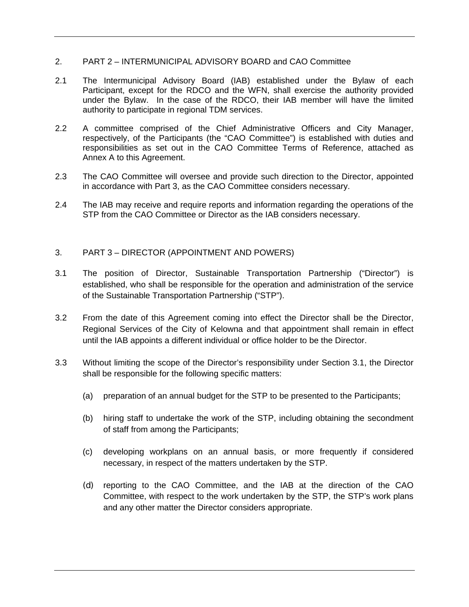### 2. PART 2 – INTERMUNICIPAL ADVISORY BOARD and CAO Committee

- 2.1 The Intermunicipal Advisory Board (IAB) established under the Bylaw of each Participant, except for the RDCO and the WFN, shall exercise the authority provided under the Bylaw. In the case of the RDCO, their IAB member will have the limited authority to participate in regional TDM services.
- 2.2 A committee comprised of the Chief Administrative Officers and City Manager, respectively, of the Participants (the "CAO Committee") is established with duties and responsibilities as set out in the CAO Committee Terms of Reference, attached as Annex A to this Agreement.
- 2.3 The CAO Committee will oversee and provide such direction to the Director, appointed in accordance with Part 3, as the CAO Committee considers necessary.
- 2.4 The IAB may receive and require reports and information regarding the operations of the STP from the CAO Committee or Director as the IAB considers necessary.

### 3. PART 3 – DIRECTOR (APPOINTMENT AND POWERS)

- 3.1 The position of Director, Sustainable Transportation Partnership ("Director") is established, who shall be responsible for the operation and administration of the service of the Sustainable Transportation Partnership ("STP").
- 3.2 From the date of this Agreement coming into effect the Director shall be the Director, Regional Services of the City of Kelowna and that appointment shall remain in effect until the IAB appoints a different individual or office holder to be the Director.
- 3.3 Without limiting the scope of the Director's responsibility under Section 3.1, the Director shall be responsible for the following specific matters:
	- (a) preparation of an annual budget for the STP to be presented to the Participants;
	- (b) hiring staff to undertake the work of the STP, including obtaining the secondment of staff from among the Participants;
	- (c) developing workplans on an annual basis, or more frequently if considered necessary, in respect of the matters undertaken by the STP.
	- (d) reporting to the CAO Committee, and the IAB at the direction of the CAO Committee, with respect to the work undertaken by the STP, the STP's work plans and any other matter the Director considers appropriate.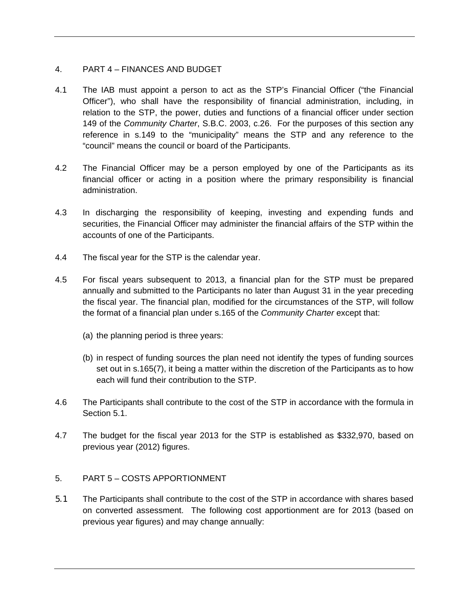# 4. PART 4 – FINANCES AND BUDGET

- 4.1 The IAB must appoint a person to act as the STP's Financial Officer ("the Financial Officer"), who shall have the responsibility of financial administration, including, in relation to the STP, the power, duties and functions of a financial officer under section 149 of the *Community Charter*, S.B.C. 2003, c.26. For the purposes of this section any reference in s.149 to the "municipality" means the STP and any reference to the "council" means the council or board of the Participants.
- 4.2 The Financial Officer may be a person employed by one of the Participants as its financial officer or acting in a position where the primary responsibility is financial administration.
- 4.3 In discharging the responsibility of keeping, investing and expending funds and securities, the Financial Officer may administer the financial affairs of the STP within the accounts of one of the Participants.
- 4.4 The fiscal year for the STP is the calendar year.
- 4.5 For fiscal years subsequent to 2013, a financial plan for the STP must be prepared annually and submitted to the Participants no later than August 31 in the year preceding the fiscal year. The financial plan, modified for the circumstances of the STP, will follow the format of a financial plan under s.165 of the *Community Charter* except that:
	- (a) the planning period is three years:
	- (b) in respect of funding sources the plan need not identify the types of funding sources set out in s.165(7), it being a matter within the discretion of the Participants as to how each will fund their contribution to the STP.
- 4.6 The Participants shall contribute to the cost of the STP in accordance with the formula in Section 5.1.
- 4.7 The budget for the fiscal year 2013 for the STP is established as \$332,970, based on previous year (2012) figures.

### 5. PART 5 – COSTS APPORTIONMENT

5.1 The Participants shall contribute to the cost of the STP in accordance with shares based on converted assessment. The following cost apportionment are for 2013 (based on previous year figures) and may change annually: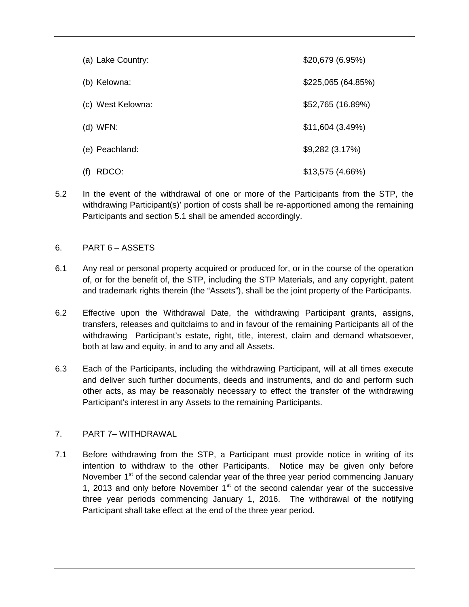| (a) Lake Country: | \$20,679 (6.95%)  |
|-------------------|-------------------|
| (b) Kelowna:      | \$225,065(64.85%) |
| (c) West Kelowna: | \$52,765 (16.89%) |
| $(d)$ WFN:        | \$11,604(3.49%)   |
| (e) Peachland:    | \$9,282(3.17%)    |
| RDCO:<br>(f)      | \$13,575(4.66%)   |

5.2 In the event of the withdrawal of one or more of the Participants from the STP, the withdrawing Participant(s)' portion of costs shall be re-apportioned among the remaining Participants and section 5.1 shall be amended accordingly.

## 6. PART 6 – ASSETS

- 6.1 Any real or personal property acquired or produced for, or in the course of the operation of, or for the benefit of, the STP, including the STP Materials, and any copyright, patent and trademark rights therein (the "Assets"), shall be the joint property of the Participants.
- 6.2 Effective upon the Withdrawal Date, the withdrawing Participant grants, assigns, transfers, releases and quitclaims to and in favour of the remaining Participants all of the withdrawing Participant's estate, right, title, interest, claim and demand whatsoever, both at law and equity, in and to any and all Assets.
- 6.3 Each of the Participants, including the withdrawing Participant, will at all times execute and deliver such further documents, deeds and instruments, and do and perform such other acts, as may be reasonably necessary to effect the transfer of the withdrawing Participant's interest in any Assets to the remaining Participants.

# 7. PART 7– WITHDRAWAL

7.1 Before withdrawing from the STP, a Participant must provide notice in writing of its intention to withdraw to the other Participants. Notice may be given only before November 1<sup>st</sup> of the second calendar year of the three year period commencing January 1, 2013 and only before November  $1<sup>st</sup>$  of the second calendar year of the successive three year periods commencing January 1, 2016. The withdrawal of the notifying Participant shall take effect at the end of the three year period.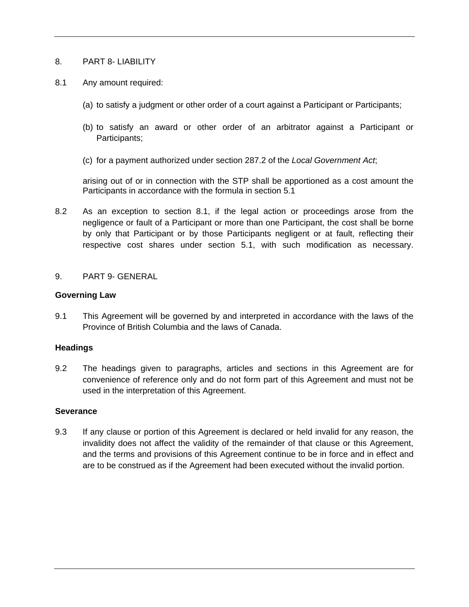### 8. PART 8- LIABILITY

- 8.1 Any amount required:
	- (a) to satisfy a judgment or other order of a court against a Participant or Participants;
	- (b) to satisfy an award or other order of an arbitrator against a Participant or Participants;
	- (c) for a payment authorized under section 287.2 of the *Local Government Act*;

arising out of or in connection with the STP shall be apportioned as a cost amount the Participants in accordance with the formula in section 5.1

8.2 As an exception to section 8.1, if the legal action or proceedings arose from the negligence or fault of a Participant or more than one Participant, the cost shall be borne by only that Participant or by those Participants negligent or at fault, reflecting their respective cost shares under section 5.1, with such modification as necessary.

### 9. PART 9- GENERAL

### **Governing Law**

9.1 This Agreement will be governed by and interpreted in accordance with the laws of the Province of British Columbia and the laws of Canada.

### **Headings**

9.2 The headings given to paragraphs, articles and sections in this Agreement are for convenience of reference only and do not form part of this Agreement and must not be used in the interpretation of this Agreement.

### **Severance**

9.3 If any clause or portion of this Agreement is declared or held invalid for any reason, the invalidity does not affect the validity of the remainder of that clause or this Agreement, and the terms and provisions of this Agreement continue to be in force and in effect and are to be construed as if the Agreement had been executed without the invalid portion.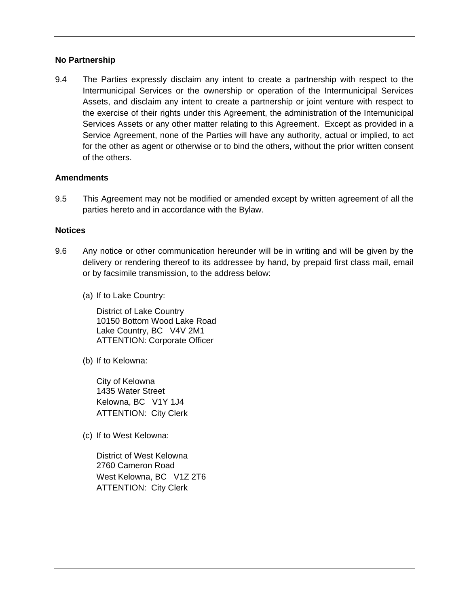### **No Partnership**

9.4 The Parties expressly disclaim any intent to create a partnership with respect to the Intermunicipal Services or the ownership or operation of the Intermunicipal Services Assets, and disclaim any intent to create a partnership or joint venture with respect to the exercise of their rights under this Agreement, the administration of the Intemunicipal Services Assets or any other matter relating to this Agreement. Except as provided in a Service Agreement, none of the Parties will have any authority, actual or implied, to act for the other as agent or otherwise or to bind the others, without the prior written consent of the others.

### **Amendments**

9.5 This Agreement may not be modified or amended except by written agreement of all the parties hereto and in accordance with the Bylaw.

### **Notices**

- 9.6 Any notice or other communication hereunder will be in writing and will be given by the delivery or rendering thereof to its addressee by hand, by prepaid first class mail, email or by facsimile transmission, to the address below:
	- (a) If to Lake Country:

District of Lake Country 10150 Bottom Wood Lake Road Lake Country, BC V4V 2M1 ATTENTION: Corporate Officer

(b) If to Kelowna:

City of Kelowna 1435 Water Street Kelowna, BC V1Y 1J4 ATTENTION: City Clerk

(c) If to West Kelowna:

District of West Kelowna 2760 Cameron Road West Kelowna, BC V1Z 2T6 ATTENTION: City Clerk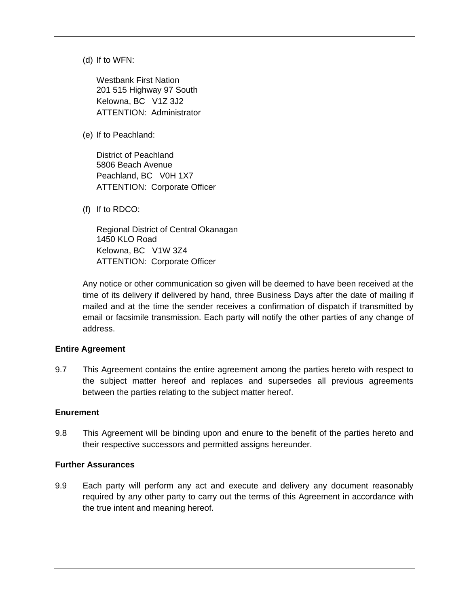(d) If to WFN:

Westbank First Nation 201 515 Highway 97 South Kelowna, BC V1Z 3J2 ATTENTION: Administrator

(e) If to Peachland:

District of Peachland 5806 Beach Avenue Peachland, BC V0H 1X7 ATTENTION: Corporate Officer

(f) If to RDCO:

Regional District of Central Okanagan 1450 KLO Road Kelowna, BC V1W 3Z4 ATTENTION: Corporate Officer

Any notice or other communication so given will be deemed to have been received at the time of its delivery if delivered by hand, three Business Days after the date of mailing if mailed and at the time the sender receives a confirmation of dispatch if transmitted by email or facsimile transmission. Each party will notify the other parties of any change of address.

#### **Entire Agreement**

9.7 This Agreement contains the entire agreement among the parties hereto with respect to the subject matter hereof and replaces and supersedes all previous agreements between the parties relating to the subject matter hereof.

#### **Enurement**

9.8 This Agreement will be binding upon and enure to the benefit of the parties hereto and their respective successors and permitted assigns hereunder.

#### **Further Assurances**

9.9 Each party will perform any act and execute and delivery any document reasonably required by any other party to carry out the terms of this Agreement in accordance with the true intent and meaning hereof.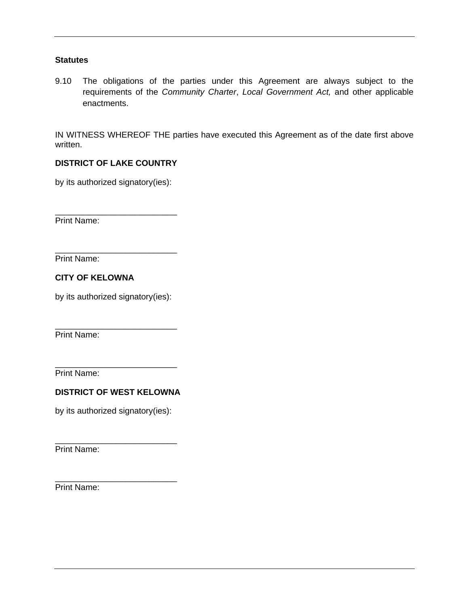### **Statutes**

9.10 The obligations of the parties under this Agreement are always subject to the requirements of the *Community Charter*, *Local Government Act,* and other applicable enactments.

IN WITNESS WHEREOF THE parties have executed this Agreement as of the date first above written.

## **DISTRICT OF LAKE COUNTRY**

by its authorized signatory(ies):

\_\_\_\_\_\_\_\_\_\_\_\_\_\_\_\_\_\_\_\_\_\_\_\_\_\_

Print Name:

\_\_\_\_\_\_\_\_\_\_\_\_\_\_\_\_\_\_\_\_\_\_\_\_\_\_ Print Name:

**CITY OF KELOWNA** 

by its authorized signatory(ies):

\_\_\_\_\_\_\_\_\_\_\_\_\_\_\_\_\_\_\_\_\_\_\_\_\_\_

Print Name:

Print Name:

# **DISTRICT OF WEST KELOWNA**

\_\_\_\_\_\_\_\_\_\_\_\_\_\_\_\_\_\_\_\_\_\_\_\_\_\_

by its authorized signatory(ies):

\_\_\_\_\_\_\_\_\_\_\_\_\_\_\_\_\_\_\_\_\_\_\_\_\_\_

\_\_\_\_\_\_\_\_\_\_\_\_\_\_\_\_\_\_\_\_\_\_\_\_\_\_

Print Name:

Print Name: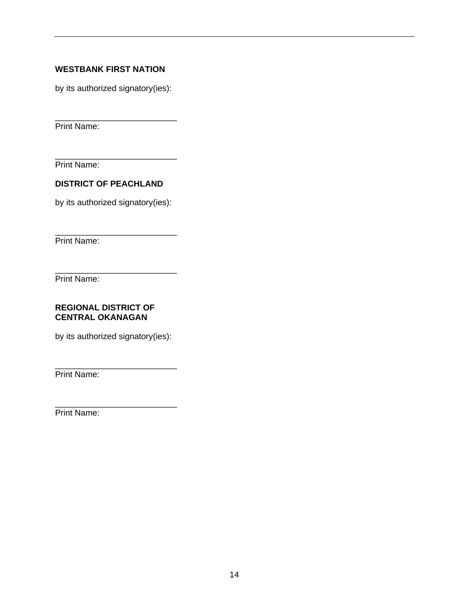# **WESTBANK FIRST NATION**

by its authorized signatory(ies):

\_\_\_\_\_\_\_\_\_\_\_\_\_\_\_\_\_\_\_\_\_\_\_\_\_\_ Print Name:

Print Name:

## **DISTRICT OF PEACHLAND**

by its authorized signatory(ies):

\_\_\_\_\_\_\_\_\_\_\_\_\_\_\_\_\_\_\_\_\_\_\_\_\_\_

\_\_\_\_\_\_\_\_\_\_\_\_\_\_\_\_\_\_\_\_\_\_\_\_\_\_ Print Name:

Print Name:

### **REGIONAL DISTRICT OF CENTRAL OKANAGAN**

by its authorized signatory(ies):

\_\_\_\_\_\_\_\_\_\_\_\_\_\_\_\_\_\_\_\_\_\_\_\_\_\_

\_\_\_\_\_\_\_\_\_\_\_\_\_\_\_\_\_\_\_\_\_\_\_\_\_\_

Print Name:

\_\_\_\_\_\_\_\_\_\_\_\_\_\_\_\_\_\_\_\_\_\_\_\_\_\_ Print Name: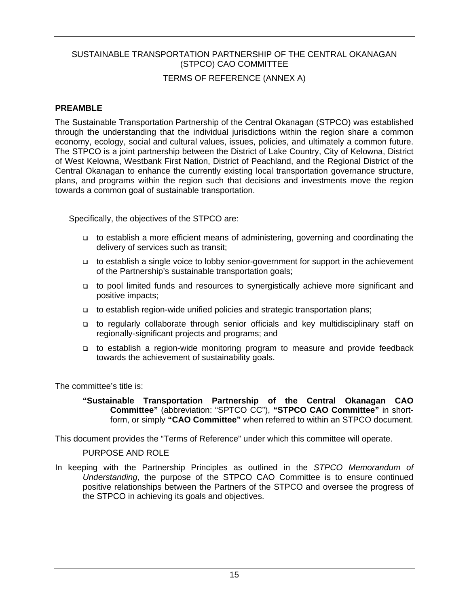## SUSTAINABLE TRANSPORTATION PARTNERSHIP OF THE CENTRAL OKANAGAN (STPCO) CAO COMMITTEE

## TERMS OF REFERENCE (ANNEX A)

### **PREAMBLE**

The Sustainable Transportation Partnership of the Central Okanagan (STPCO) was established through the understanding that the individual jurisdictions within the region share a common economy, ecology, social and cultural values, issues, policies, and ultimately a common future. The STPCO is a joint partnership between the District of Lake Country, City of Kelowna, District of West Kelowna, Westbank First Nation, District of Peachland, and the Regional District of the Central Okanagan to enhance the currently existing local transportation governance structure, plans, and programs within the region such that decisions and investments move the region towards a common goal of sustainable transportation.

Specifically, the objectives of the STPCO are:

- to establish a more efficient means of administering, governing and coordinating the delivery of services such as transit;
- □ to establish a single voice to lobby senior-government for support in the achievement of the Partnership's sustainable transportation goals;
- to pool limited funds and resources to synergistically achieve more significant and positive impacts;
- to establish region-wide unified policies and strategic transportation plans;
- to regularly collaborate through senior officials and key multidisciplinary staff on regionally-significant projects and programs; and
- to establish a region-wide monitoring program to measure and provide feedback towards the achievement of sustainability goals.

The committee's title is:

**"Sustainable Transportation Partnership of the Central Okanagan CAO Committee"** (abbreviation: "SPTCO CC"), **"STPCO CAO Committee"** in shortform, or simply **"CAO Committee"** when referred to within an STPCO document.

This document provides the "Terms of Reference" under which this committee will operate.

PURPOSE AND ROLE

In keeping with the Partnership Principles as outlined in the *STPCO Memorandum of Understanding*, the purpose of the STPCO CAO Committee is to ensure continued positive relationships between the Partners of the STPCO and oversee the progress of the STPCO in achieving its goals and objectives.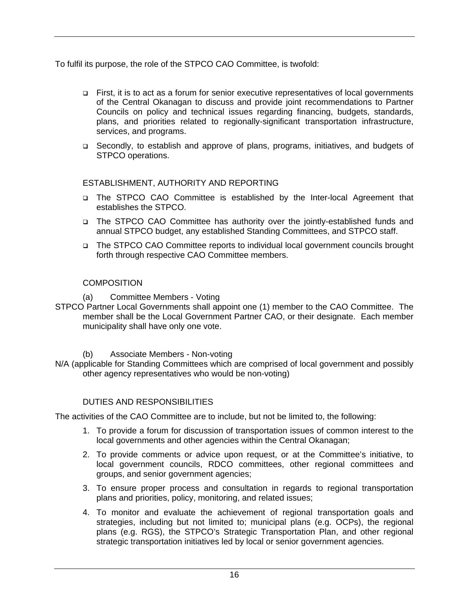To fulfil its purpose, the role of the STPCO CAO Committee, is twofold:

- First, it is to act as a forum for senior executive representatives of local governments of the Central Okanagan to discuss and provide joint recommendations to Partner Councils on policy and technical issues regarding financing, budgets, standards, plans, and priorities related to regionally-significant transportation infrastructure, services, and programs.
- Secondly, to establish and approve of plans, programs, initiatives, and budgets of STPCO operations.

# ESTABLISHMENT, AUTHORITY AND REPORTING

- The STPCO CAO Committee is established by the Inter-local Agreement that establishes the STPCO.
- □ The STPCO CAO Committee has authority over the jointly-established funds and annual STPCO budget, any established Standing Committees, and STPCO staff.
- □ The STPCO CAO Committee reports to individual local government councils brought forth through respective CAO Committee members.

# **COMPOSITION**

(a) Committee Members - Voting

STPCO Partner Local Governments shall appoint one (1) member to the CAO Committee. The member shall be the Local Government Partner CAO, or their designate. Each member municipality shall have only one vote.

(b) Associate Members - Non-voting

N/A (applicable for Standing Committees which are comprised of local government and possibly other agency representatives who would be non-voting)

# DUTIES AND RESPONSIBILITIES

The activities of the CAO Committee are to include, but not be limited to, the following:

- 1. To provide a forum for discussion of transportation issues of common interest to the local governments and other agencies within the Central Okanagan;
- 2. To provide comments or advice upon request, or at the Committee's initiative, to local government councils, RDCO committees, other regional committees and groups, and senior government agencies;
- 3. To ensure proper process and consultation in regards to regional transportation plans and priorities, policy, monitoring, and related issues;
- 4. To monitor and evaluate the achievement of regional transportation goals and strategies, including but not limited to; municipal plans (e.g. OCPs), the regional plans (e.g. RGS), the STPCO's Strategic Transportation Plan, and other regional strategic transportation initiatives led by local or senior government agencies.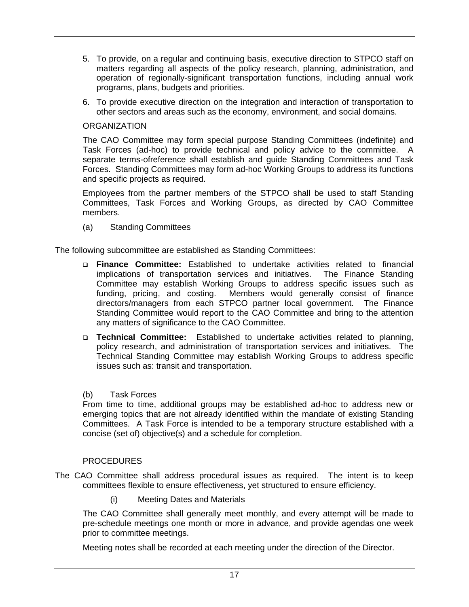- 5. To provide, on a regular and continuing basis, executive direction to STPCO staff on matters regarding all aspects of the policy research, planning, administration, and operation of regionally-significant transportation functions, including annual work programs, plans, budgets and priorities.
- 6. To provide executive direction on the integration and interaction of transportation to other sectors and areas such as the economy, environment, and social domains.

### **ORGANIZATION**

The CAO Committee may form special purpose Standing Committees (indefinite) and Task Forces (ad-hoc) to provide technical and policy advice to the committee. A separate terms-ofreference shall establish and guide Standing Committees and Task Forces. Standing Committees may form ad-hoc Working Groups to address its functions and specific projects as required.

Employees from the partner members of the STPCO shall be used to staff Standing Committees, Task Forces and Working Groups, as directed by CAO Committee members.

(a) Standing Committees

The following subcommittee are established as Standing Committees:

- **Finance Committee:** Established to undertake activities related to financial implications of transportation services and initiatives. The Finance Standing Committee may establish Working Groups to address specific issues such as funding, pricing, and costing. Members would generally consist of finance directors/managers from each STPCO partner local government. The Finance Standing Committee would report to the CAO Committee and bring to the attention any matters of significance to the CAO Committee.
- **Technical Committee:** Established to undertake activities related to planning, policy research, and administration of transportation services and initiatives. The Technical Standing Committee may establish Working Groups to address specific issues such as: transit and transportation.

#### (b) Task Forces

From time to time, additional groups may be established ad-hoc to address new or emerging topics that are not already identified within the mandate of existing Standing Committees. A Task Force is intended to be a temporary structure established with a concise (set of) objective(s) and a schedule for completion.

### **PROCEDURES**

- The CAO Committee shall address procedural issues as required. The intent is to keep committees flexible to ensure effectiveness, yet structured to ensure efficiency.
	- (i) Meeting Dates and Materials

The CAO Committee shall generally meet monthly, and every attempt will be made to pre-schedule meetings one month or more in advance, and provide agendas one week prior to committee meetings.

Meeting notes shall be recorded at each meeting under the direction of the Director.